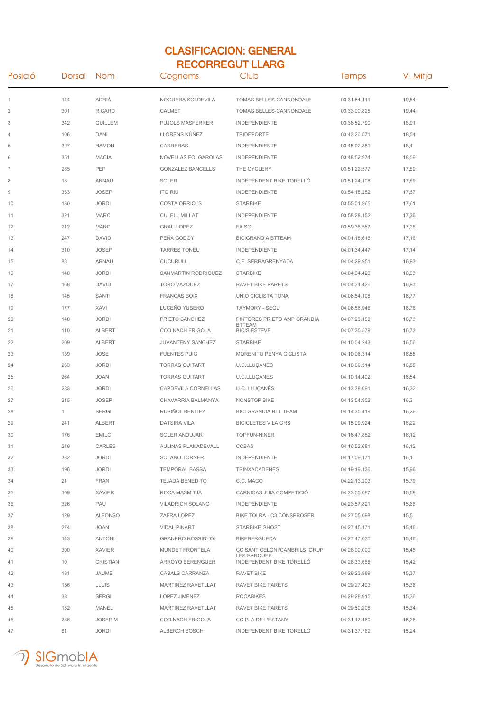## CLASIFICACION: GENERAL RECORREGUT LLARG

| Posició                | Dorsal       | Nom            | Cognoms                   | Club                                               | <b>Temps</b> | V. Mitja |
|------------------------|--------------|----------------|---------------------------|----------------------------------------------------|--------------|----------|
| 1                      | 144          | ADRIÀ          | NOGUERA SOLDEVILA         | TOMAS BELLES-CANNONDALE                            | 03:31:54.411 | 19,54    |
| $\overline{2}$         | 301          | <b>RICARD</b>  | CALMET                    | TOMAS BELLES-CANNONDALE                            | 03:33:00.825 | 19,44    |
| 3                      | 342          | <b>GUILLEM</b> | PUJOLS MASFERRER          | INDEPENDIENTE                                      | 03:38:52.790 | 18,91    |
| 4                      | 106          | <b>DANI</b>    | LLORENS NÚÑEZ             | <b>TRIDEPORTE</b>                                  | 03:43:20.571 | 18,54    |
| 5                      | 327          | <b>RAMON</b>   | CARRERAS                  | INDEPENDIENTE                                      | 03:45:02.889 | 18,4     |
| 6                      | 351          | <b>MACIA</b>   | NOVELLAS FOLGAROLAS       | <b>INDEPENDIENTE</b>                               | 03:48:52.974 | 18,09    |
| $\overline{7}$         | 285          | PEP            | <b>GONZALEZ BANCELLS</b>  | THE CYCLERY                                        | 03:51:22.577 | 17,89    |
| 8                      | 18           | <b>ARNAU</b>   | <b>SOLER</b>              | INDEPENDENT BIKE TORELLÓ                           | 03:51:24.108 | 17,89    |
| $\mathrel{\mathsf{g}}$ | 333          | <b>JOSEP</b>   | <b>ITO RIU</b>            | <b>INDEPENDIENTE</b>                               | 03:54:18.282 | 17,67    |
| 10                     | 130          | <b>JORDI</b>   | <b>COSTA ORRIOLS</b>      | <b>STARBIKE</b>                                    | 03:55:01.965 | 17,61    |
| 11                     | 321          | <b>MARC</b>    | <b>CULELL MILLAT</b>      | INDEPENDIENTE                                      | 03:58:28.152 | 17,36    |
| 12                     | 212          | <b>MARC</b>    | <b>GRAU LOPEZ</b>         | <b>FA SOL</b>                                      | 03:59:38.587 | 17,28    |
| 13                     | 247          | <b>DAVID</b>   | PEÑA GODOY                | <b>BICIGRANDIA BTTEAM</b>                          | 04:01:18.616 | 17,16    |
| 14                     | 310          | <b>JOSEP</b>   | <b>TARRES TONEU</b>       | INDEPENDIENTE                                      | 04:01:34.447 | 17,14    |
| 15                     | 88           | <b>ARNAU</b>   | <b>CUCURULL</b>           | C.E. SERRAGRENYADA                                 | 04:04:29.951 | 16,93    |
| 16                     | 140          | <b>JORDI</b>   | SANMARTIN RODRIGUEZ       | <b>STARBIKE</b>                                    | 04:04:34.420 | 16,93    |
| 17                     | 168          | <b>DAVID</b>   | TORO VAZQUEZ              | RAVET BIKE PARETS                                  | 04:04:34.426 | 16,93    |
| 18                     | 145          | SANTI          | <b>FRANCÀS BOIX</b>       | UNIO CICLISTA TONA                                 | 04:06:54.108 | 16,77    |
| 19                     | 177          | <b>XAVI</b>    | LUCEÑO YUBERO             | TAYMORY - SEGU                                     | 04:06:56.946 | 16,76    |
| 20                     | 148          | <b>JORDI</b>   | PRIETO SANCHEZ            | PINTORES PRIETO AMP GRANDIA<br><b>BTTEAM</b>       | 04:07:23.158 | 16,73    |
| 21                     | 110          | <b>ALBERT</b>  | CODINACH FRIGOLA          | <b>BICIS ESTEVE</b>                                | 04:07:30.579 | 16,73    |
| 22                     | 209          | <b>ALBERT</b>  | JUVANTENY SANCHEZ         | <b>STARBIKE</b>                                    | 04:10:04.243 | 16,56    |
| 23                     | 139          | <b>JOSE</b>    | <b>FUENTES PUIG</b>       | MORENITO PENYA CICLISTA                            | 04:10:06.314 | 16,55    |
| 24                     | 263          | <b>JORDI</b>   | <b>TORRAS GUITART</b>     | U.C.LLUÇANÈS                                       | 04:10:06.314 | 16,55    |
| 25                     | 264          | <b>JOAN</b>    | <b>TORRAS GUITART</b>     | U.C.LLUÇANES                                       | 04:10:14.402 | 16,54    |
| 26                     | 283          | <b>JORDI</b>   | CAPDEVILA CORNELLAS       | U.C. LLUÇANËS                                      | 04:13:38.091 | 16,32    |
| 27                     | 215          | <b>JOSEP</b>   | CHAVARRIA BALMANYA        | NONSTOP BIKE                                       | 04:13:54.902 | 16,3     |
| 28                     | $\mathbf{1}$ | <b>SERGI</b>   | RUSIÑOL BENITEZ           | <b>BICI GRANDIA BTT TEAM</b>                       | 04:14:35.419 | 16,26    |
| 29                     | 241          | <b>ALBERT</b>  | <b>DATSIRA VILA</b>       | <b>BICICLETES VILA ORS</b>                         | 04:15:09.924 | 16,22    |
| 30                     | 176          | <b>EMILO</b>   | SOLER ANDUJAR             | <b>TOPFUN-NINER</b>                                | 04:16:47.882 | 16,12    |
| 31                     | 249          | CARLES         | AULINAS PLANADEVALL       | <b>CCBAS</b>                                       | 04:16:52.681 | 16,12    |
| 32                     | 332          | <b>JORDI</b>   | <b>SOLANO TORNER</b>      | <b>INDEPENDIENTE</b>                               | 04:17:09.171 | 16,1     |
| 33                     | 196          | <b>JORDI</b>   | <b>TEMPORAL BASSA</b>     | <b>TRINXACADENES</b>                               | 04:19:19.136 | 15,96    |
| 34                     | 21           | <b>FRAN</b>    | <b>TEJADA BENEDITO</b>    | C.C. MACO                                          | 04:22:13.203 | 15,79    |
| 35                     | 109          | <b>XAVIER</b>  | ROCA MASMITJÁ             | CARNICAS JUIA COMPETICIÓ                           | 04:23:55.087 | 15,69    |
| 36                     | 326          | PAU            | <b>VILADRICH SOLANO</b>   | <b>INDEPENDIENTE</b>                               | 04:23:57.821 | 15,68    |
| 37                     | 129          | <b>ALFONSO</b> | ZAFRA LOPEZ               | BIKE TOLRA - C3 CONSPROSER                         | 04:27:05.098 | 15,5     |
| 38                     | 274          | <b>JOAN</b>    | <b>VIDAL PINART</b>       | <b>STARBIKE GHOST</b>                              | 04:27:45.171 | 15,46    |
| 39                     | 143          | <b>ANTONI</b>  | <b>GRANERO ROSSINYOL</b>  | <b>BIKEBERGUEDA</b>                                | 04:27:47.030 | 15,46    |
| 40                     | 300          | XAVIER         | <b>MUNDET FRONTELA</b>    | CC SANT CELONI/CAMBRILS GRUP<br><b>LES BARQUES</b> | 04:28:00.000 | 15,45    |
| 41                     | 10           | CRISTIAN       | ARROYO BERENGUER          | INDEPENDENT BIKE TORELLO                           | 04:28:33.658 | 15,42    |
| 42                     | 181          | JAUME          | CASALS CARRANZA           | RAVET BIKE                                         | 04:29:23.889 | 15,37    |
| 43                     | 156          | <b>LLUIS</b>   | MARTINEZ RAVETLLAT        | RAVET BIKE PARETS                                  | 04:29:27.493 | 15,36    |
| 44                     | 38           | <b>SERGI</b>   | LOPEZ JIMENEZ             | <b>ROCABIKES</b>                                   | 04:29:28.915 | 15,36    |
| 45                     | 152          | MANEL          | <b>MARTINEZ RAVETLLAT</b> | RAVET BIKE PARETS                                  | 04:29:50.206 | 15,34    |
| 46                     | 286          | JOSEP M        | CODINACH FRIGOLA          | CC PLA DE L'ESTANY                                 | 04:31:17.460 | 15,26    |
| 47                     | 61           | <b>JORDI</b>   | ALBERCH BOSCH             | INDEPENDENT BIKE TORELLO                           | 04:31:37.769 | 15,24    |

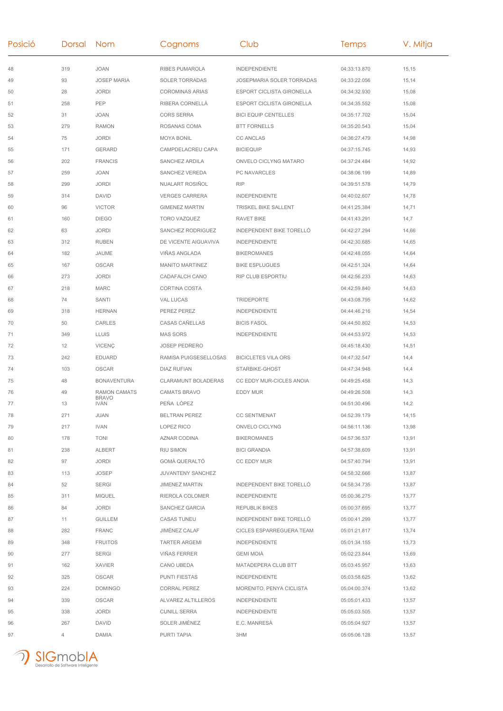| Posició | Dorsal Nom |                             | Cognoms                    | Club                             | Temps        | V. Mitja |
|---------|------------|-----------------------------|----------------------------|----------------------------------|--------------|----------|
| 48      | 319        | <b>JOAN</b>                 | <b>RIBES PUMAROLA</b>      | <b>INDEPENDIENTE</b>             | 04:33:13.870 | 15,15    |
| 49      | 93         | <b>JOSEP MARIA</b>          | <b>SOLER TORRADAS</b>      | <b>JOSEPMARIA SOLER TORRADAS</b> | 04:33:22.056 | 15,14    |
| 50      | 28         | <b>JORDI</b>                | <b>COROMINAS ARIAS</b>     | <b>ESPORT CICLISTA GIRONELLA</b> | 04:34:32.930 | 15,08    |
| 51      | 258        | PEP                         | RIBERA CORNELLÀ            | ESPORT CICLISTA GIRONELLA        | 04:34:35.552 | 15,08    |
| 52      | 31         | <b>JOAN</b>                 | <b>CORS SERRA</b>          | <b>BICI EQUIP CENTELLES</b>      | 04:35:17.702 | 15,04    |
| 53      | 279        | <b>RAMON</b>                | ROSANAS COMA               | <b>BTT FORNELLS</b>              | 04:35:20.543 | 15,04    |
| 54      | 75         | <b>JORDI</b>                | <b>MOYA BONIL</b>          | <b>CC ANCLAS</b>                 | 04:36:27.479 | 14,98    |
| 55      | 171        | <b>GERARD</b>               | CAMPDELACREU CAPA          | <b>BICIEQUIP</b>                 | 04:37:15.745 | 14,93    |
| 56      | 202        | <b>FRANCIS</b>              | SANCHEZ ARDILA             | ONVELO CICLYNG MATARO            | 04:37:24.484 | 14,92    |
| 57      | 259        | <b>JOAN</b>                 | SANCHEZ VEREDA             | PC NAVARCLES                     | 04:38:06.199 | 14,89    |
| 58      | 299        | <b>JORDI</b>                | NUALART ROSIÑOL            | <b>RIP</b>                       | 04:39:51.578 | 14,79    |
| 59      | 314        | <b>DAVID</b>                | <b>VERGES CARRERA</b>      | <b>INDEPENDIENTE</b>             | 04:40:02.607 | 14,78    |
| 60      | 96         | <b>VICTOR</b>               | <b>GIMENEZ MARTIN</b>      | TRISKEL BIKE SALLENT             | 04:41:25.384 | 14,71    |
| 61      | 160        | <b>DIEGO</b>                | TORO VAZQUEZ               | <b>RAVET BIKE</b>                | 04:41:43.291 | 14,7     |
| 62      | 63         | <b>JORDI</b>                | SANCHEZ RODRIGUEZ          | INDEPENDENT BIKE TORELLÓ         | 04:42:27.294 | 14,66    |
| 63      | 312        | <b>RUBEN</b>                | DE VICENTE AIGUAVIVA       | <b>INDEPENDIENTE</b>             | 04:42:30.685 | 14,65    |
| 64      | 182        | JAUME                       | <b>VIÑAS ANGLADA</b>       | <b>BIKEROMANES</b>               | 04:42:48.055 | 14,64    |
| 65      | 167        | <b>OSCAR</b>                | <b>MANITO MARTINEZ</b>     | <b>BIKE ESPLUGUES</b>            | 04:42:51.324 | 14,64    |
| 66      | 273        | <b>JORDI</b>                | <b>CADAFALCH CANO</b>      | <b>RIP CLUB ESPORTIU</b>         | 04:42:56.233 | 14,63    |
| 67      | 218        | <b>MARC</b>                 | <b>CORTINA COSTA</b>       |                                  | 04:42:59.840 | 14,63    |
| 68      | 74         | SANTI                       | VAL LUCAS                  | <b>TRIDEPORTE</b>                | 04:43:08.795 | 14,62    |
| 69      | 318        | <b>HERNAN</b>               | PEREZ PEREZ                | <b>INDEPENDIENTE</b>             | 04:44:46.216 | 14,54    |
| 70      | 50         | <b>CARLES</b>               | CASAS CAÑELLAS             | <b>BICIS FASOL</b>               | 04:44:50.802 | 14,53    |
| 71      | 349        | <b>LLUIS</b>                | <b>MAS SORS</b>            | <b>INDEPENDIENTE</b>             | 04:44:53.972 | 14,53    |
| 72      | 12         | <b>VICENÇ</b>               | <b>JOSEP PEDRERO</b>       |                                  | 04:45:18.430 | 14,51    |
| 73      | 242        | <b>EDUARD</b>               | RAMISA PUIGSESELLOSAS      | <b>BICICLETES VILA ORS</b>       | 04:47:32.547 | 14,4     |
| 74      | 103        | <b>OSCAR</b>                | <b>DIAZ RUFIAN</b>         | STARBIKE-GHOST                   | 04:47:34.948 | 14,4     |
| 75      | 48         | <b>BONAVENTURA</b>          | <b>CLARAMUNT BOLADERAS</b> | CC EDDY MUR-CICLES ANOIA         | 04:49:25.458 | 14,3     |
| 76      | 49         | <b>RAMON CAMATS</b>         | <b>CAMATS BRAVO</b>        | <b>EDDY MUR</b>                  | 04:49:26.508 | 14,3     |
| 77      | 13         | <b>BRAVO</b><br><b>IVÁN</b> | PEÑA LÓPEZ                 |                                  | 04:51:30.496 | 14,2     |
| 78      | 271        | JUAN                        | <b>BELTRAN PEREZ</b>       | CC SENTMENAT                     | 04:52:39.179 | 14,15    |
| 79      | 217        | IVAN                        | LOPEZ RICO                 | ONVELO CICLYNG                   | 04:56:11.136 | 13,98    |
| 80      | 178        | <b>TONI</b>                 | AZNAR CODINA               | <b>BIKEROMANES</b>               | 04:57:36.537 | 13,91    |
| 81      | 238        | <b>ALBERT</b>               | RIU SIMON                  | <b>BICI GRANDIA</b>              | 04:57:38.609 | 13,91    |
| 82      | 97         | JORDI                       | GOMÀ QUERALTÓ              | <b>CC EDDY MUR</b>               | 04:57:40.794 | 13,91    |
| 83      | 113        | JOSEP                       | JUVANTENY SANCHEZ          |                                  | 04:58:32.666 | 13,87    |
| 84      | 52         | SERGI                       | <b>JIMENEZ MARTIN</b>      | INDEPENDENT BIKE TORELLÓ         | 04:58:34.735 | 13,87    |
| 85      | 311        | <b>MIQUEL</b>               | RIEROLA COLOMER            | <b>INDEPENDIENTE</b>             | 05:00:36.275 | 13,77    |
| 86      | 84         | JORDI                       | SANCHEZ GARCIA             | REPUBLIK BIKES                   | 05:00:37.695 | 13,77    |
| 87      | 11         | <b>GUILLEM</b>              | <b>CASAS TUNEU</b>         | INDEPENDENT BIKE TORELLÓ         | 05:00:41.299 | 13,77    |
| 88      | 282        | <b>FRANC</b>                | JIMÉNEZ CALAF              | CICLES ESPARREGUERA TEAM         | 05:01:21.817 | 13,74    |
| 89      | 348        | <b>FRUITOS</b>              | <b>TARTER ARGEMI</b>       | <b>INDEPENDIENTE</b>             | 05:01:34.155 | 13,73    |
| 90      | 277        | SERGI                       | <b>VIÑAS FERRER</b>        | GEMI MOIÀ                        | 05:02:23.844 | 13,69    |
| 91      | 162        | <b>XAVIER</b>               | CANO UBEDA                 | MATADEPERA CLUB BTT              | 05:03:45.957 | 13,63    |
| 92      | 325        | OSCAR                       | <b>PUNTI FIESTAS</b>       | <b>INDEPENDIENTE</b>             | 05:03:58.625 | 13,62    |
| 93      | 224        | <b>DOMINGO</b>              | <b>CORRAL PEREZ</b>        | MORENITO, PENYA CICLISTA         | 05:04:00.374 | 13,62    |
| 94      | 339        | <b>OSCAR</b>                | ALVAREZ ALTILLEROS         | <b>INDEPENDIENTE</b>             | 05:05:01.433 | 13,57    |
| 95      | 338        | <b>JORDI</b>                | <b>CUNILL SERRA</b>        | <b>INDEPENDIENTE</b>             | 05:05:03.505 | 13,57    |
| 96      | 267        | <b>DAVID</b>                | SOLER JIMÉNEZ              | E.C. MANRESÀ                     | 05:05:04.927 | 13,57    |
| 97      | 4          | DAMIA                       | PURTI TAPIA                | 3HM                              | 05:05:06.128 | 13,57    |

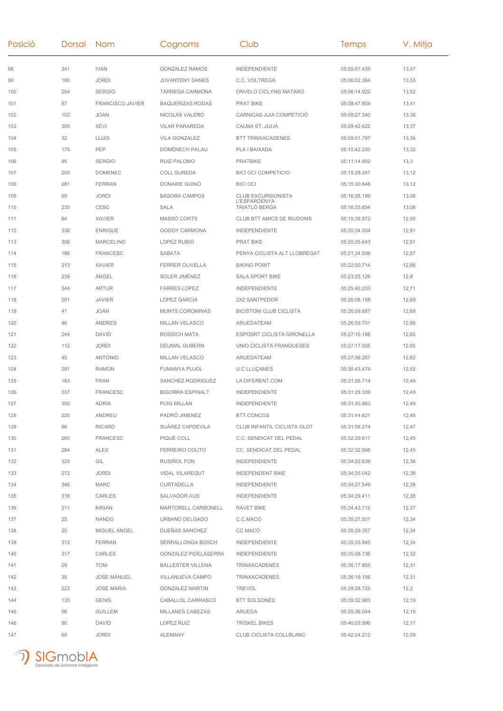| Posició | Dorsal | <b>Nom</b>              | Cognoms                  | Club                                        | Temps        | V. Mitja |
|---------|--------|-------------------------|--------------------------|---------------------------------------------|--------------|----------|
| 98      | 341    | <b>IVAN</b>             | <b>GONZALEZ RAMOS</b>    | <b>INDEPENDIENTE</b>                        | 05:05:07.439 | 13,57    |
| 99      | 180    | <b>JORDI</b>            | JUVANTENY DANES          | C.C. VOLTREGA                               | 05:06:02.364 | 13,53    |
| 100     | 204    | <b>SERGIO</b>           | TARREGA CARMONA          | ONVELO CICLYNG MATARO                       | 05:06:14.922 | 13,52    |
| 101     | 87     | <b>FRANCISCO JAVIER</b> | <b>BAQUERIZAS RODAS</b>  | <b>PRAT BIKE</b>                            | 05:08:47.804 | 13,41    |
| 102     | 102    | <b>JOAN</b>             | NICOLÀS VALERO           | CARNICAS JUIA COMPETICIO                    | 05:09:27.340 | 13,38    |
| 103     | 305    | <b>XEVI</b>             | <b>VILAR PARAREDA</b>    | CALMA ST. JULIA                             | 05:09:42.622 | 13,37    |
| 104     | 32     | <b>LLUIS</b>            | <b>VILA GONZALEZ</b>     | <b>BTT TRINXACADENES</b>                    | 05:09:51.797 | 13,36    |
| 105     | 175    | PEP                     | DOMÈNECH PALAU           | PLA I BAIXADA                               | 05:10:42.250 | 13,32    |
| 106     | 95     | <b>SERGIO</b>           | RUIZ PALOMO              | <b>PRATBIKE</b>                             | 05:11:14.902 | 13,3     |
| 107     | 205    | <b>DOMENEC</b>          | <b>COLL SUREDA</b>       | <b>BICI OCI COMPETICIO</b>                  | 05:15:28.247 | 13,12    |
| 108     | 281    | <b>FERRAN</b>           | DONAIRE GUINO            | <b>BICI OCI</b>                             | 05:15:30.648 | 13,12    |
| 109     | 85     | <b>JORDI</b>            | <b>BASORA CAMPOS</b>     | <b>CLUB EXCURSIONISTA</b>                   | 05:16:28.199 | 13,08    |
| 110     | 230    | CESC                    | <b>SALA</b>              | <b>L'ESPARDENYA</b><br><b>TRIATLO BERGA</b> | 05:16:33.654 | 13,08    |
| 111     | 64     | <b>XAVIER</b>           | MASSÓ CORTS              | CLUB BTT AMICS DE RIUDOMS                   | 05:19:38.972 | 12,95    |
| 112     | 336    | <b>ENRIQUE</b>          | <b>GODOY CARMONA</b>     | <b>INDEPENDIENTE</b>                        | 05:20:34.004 | 12,91    |
| 113     | 306    | <b>MARCELINO</b>        | LOPEZ RUBIO              | <b>PRAT BIKE</b>                            | 05:20:35.643 | 12,91    |
| 114     | 166    | <b>FRANCESC</b>         | SABATA                   | PENYA CICLISTA ALT LLOBREGAT                | 05:21:34.506 | 12,87    |
| 115     | 213    | <b>XAVIER</b>           | <b>FERRER OLIVELLA</b>   | <b>BIKING POINT</b>                         | 05:22:00.714 | 12,86    |
| 116     | 239    | ÀNGEL                   | SOLER JIMÉNEZ            | <b>SALA SPORT BIKE</b>                      | 05:23:25.126 | 12,8     |
| 117     | 344    | <b>ARTUR</b>            | <b>FARRES LOPEZ</b>      | <b>INDEPENDIENTE</b>                        | 05:25:40.203 | 12,71    |
| 118     | 201    | <b>JAVIER</b>           | <b>LOPEZ GARCIA</b>      | 2X2 SANTPEDOR                               | 05:26:08.158 | 12,69    |
| 119     | 41     | JOAN                    | <b>MUNTS COROMINAS</b>   | <b>BICISTONI CLUB CICLISTA</b>              | 05:26:09.687 | 12,69    |
| 120     | 46     | <b>ANDRES</b>           | MILLAN VELASCO           | ARUEDATEAM                                  | 05:26:59.701 | 12,66    |
| 121     | 244    | <b>DAVID</b>            | ROSSICH MATA             | ESPOSRT CICLISTA GIRONELLA                  | 05:27:10.188 | 12,65    |
| 122     | 112    | <b>JORDI</b>            | DEUMAL GUBERN            | UNIO CICLISTA FRANQUESES                    | 05:27:17.505 | 12,65    |
| 123     | 45     | <b>ANTONIO</b>          | MILLAN VELASCO           | ARUEDATEAM                                  | 05:27:56.267 | 12,62    |
| 124     | 291    | <b>RAMON</b>            | FUMANYA PUJOL            | <b>U.C LLUÇANES</b>                         | 05:30:43.474 | 12,52    |
| 125     | 183    | <b>FRAN</b>             | SANCHEZ RODRIGUEZ        | LA DIFERENT.COM                             | 05:31:26.714 | 12,49    |
| 126     | 337    | <b>FRANCESC</b>         | <b>BIGORRA ESPINALT</b>  | <b>INDEPENDIENTE</b>                        | 05:31:29.339 | 12,49    |
| 127     | 350    | <b>ADRIA</b>            | <b>PUIG MILLAN</b>       | <b>INDEPENDIENTE</b>                        | 05:31:30.863 | 12,49    |
| 128     | 220    | ANDREU                  | PADRÓ JIMENEZ            | BTT.CONCOS                                  | 05:31:44.621 | 12,48    |
| 129     | 86     | <b>RICARD</b>           | SUAREZ CAPDEVILA         | CLUB INFANTIL CICLISTA OLOT                 | 05:31:58.274 | 12,47    |
| 130     | 260    | FRANCESC                | PIQUÉ COLL               | C.C. SENDICAT DEL PEDAL                     | 05:32:29.617 | 12,45    |
| 131     | 284    | ALEX                    | FERREIRO COUTO           | CC. SENDICAT DEL PEDAL                      | 05:32:32.566 | 12,45    |
| 132     | 320    | GIL                     | RUSIÑOL FON              | INDEPENDIENTE                               | 05:34:22.639 | 12,38    |
| 133     | 272    | JORDI                   | VIDAL VILAREGUT          | <b>INDEPENDENT BIKE</b>                     | 05:34:25.042 | 12,38    |
| 134     | 346    | MARC                    | CURTADELLA               | <b>INDEPENDIENTE</b>                        | 05:34:27.549 | 12,38    |
| 135     | 316    | CARLES                  | SALVADOR AUS             | <b>INDEPENDIENTE</b>                        | 05:34:29.411 | 12,38    |
| 136     | 211    | <b>KIRIAN</b>           | MARTORELL CARBONELL      | RAVET BIKE                                  | 05:34:43.712 | 12,37    |
| 137     | 25     | <b>NANDO</b>            | URBANO DELGADO           | C.C.MACO                                    | 05:35:27.501 | 12,34    |
| 138     | 20     | MIGUEL ANGEL            | DUEÑAS SANCHEZ           | CC MACO                                     | 05:35:29.357 | 12,34    |
| 139     | 313    | <b>FERRAN</b>           | SERRALLONGA BOSCH        | <b>INDEPENDIENTE</b>                        | 05:35:33.945 | 12,34    |
| 140     | 317    | CARLES                  | GONZALEZ PIDELASERRA     | <b>INDEPENDIENTE</b>                        | 05:35:58.736 | 12,32    |
| 141     | 29     | TONI                    | <b>BALLESTER VILLENA</b> | TRINXACADENES                               | 05:36:17.955 | 12,31    |
| 142     | 35     | <b>JOSE MANUEL</b>      | VILLANUEVA CAMPO         | <b>TRINXACADENES</b>                        | 05:36:19.156 | 12,31    |
| 143     | 223    | <b>JOSE MARIA</b>       | <b>GONZALEZ MARTIN</b>   | TREVOL                                      | 05:39:28.725 | 12,2     |
| 144     | 135    | <b>GENIS</b>            | CABALLOL CARRASCO        | <b>BTT SOLSONES</b>                         | 05:39:32.983 | 12,19    |
| 145     | 56     | <b>GUILLEM</b>          | MILLANES CABEZAS         | ARUEDA                                      | 05:39:36.044 | 12,19    |
| 146     | 90     | DAVID                   | LOPEZ RUIZ               | <b>TRISKEL BIKES</b>                        | 05:40:03.996 | 12,17    |
| 147     | 65     | JORDI                   | <b>ALEMANY</b>           | CLUB CICLISTA COLLBLANC                     | 05:42:24.212 | 12,09    |
|         |        |                         |                          |                                             |              |          |

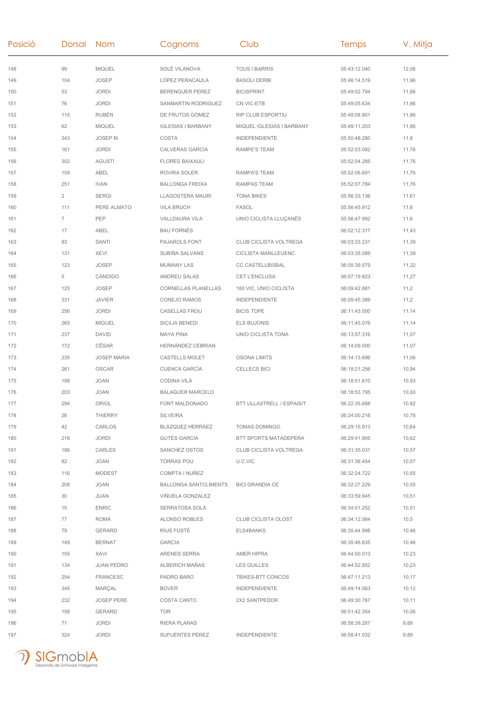| Posició | Dorsal         | Nom                | Cognoms                      | Club                             | Temps        | V. Mitja |
|---------|----------------|--------------------|------------------------------|----------------------------------|--------------|----------|
| 148     | 99             | <b>MIQUEL</b>      | SOLÉ VILANOVA                | <b>TOUS I BARRIS</b>             | 05:43:12.040 | 12,06    |
| 149     | 104            | <b>JOSEP</b>       | <b>LOPEZ PERACAULA</b>       | <b>BASOLI DERBI</b>              | 05:46:14.519 | 11,96    |
| 150     | 53             | <b>JORDI</b>       | <b>BERENGUER PEREZ</b>       | <b>BICISPRINT</b>                | 05:49:02.794 | 11,86    |
| 151     | 76             | <b>JORDI</b>       | SANMARTIN RODRIGUEZ          | CN VIC-ETB                       | 05:49:05.634 | 11,86    |
| 152     | 115            | <b>RUBÉN</b>       | DE FRUTOS GÓMEZ              | RIP CLUB ESPORTIU                | 05:49:08.801 | 11,86    |
| 153     | 62             | <b>MIQUEL</b>      | <b>IGLESIAS I BARBANY</b>    | MIQUEL IGLESIAS I BARBANY        | 05:49:11.203 | 11,86    |
| 154     | 343            | JOSEP M.           | COSTA                        | <b>INDEPENDIENTE</b>             | 05:50:48.280 | 11,8     |
| 155     | 161            | <b>JORDI</b>       | <b>CALVERAS GARCIA</b>       | <b>RAMPE'S TEAM</b>              | 05:52:03.082 | 11,76    |
| 156     | 302            | <b>AGUSTI</b>      | <b>FLORES BAIXAULI</b>       |                                  | 05:52:04.285 | 11,76    |
| 157     | 159            | ABEL               | ROVIRA SOLER                 | <b>RAMPA'S TEAM</b>              | 05:52:06.691 | 11,76    |
| 158     | 251            | <b>IVAN</b>        | <b>BALLONGA FREIXA</b>       | <b>RAMPAS TEAM</b>               | 05:52:07.784 | 11,76    |
| 159     | $\overline{2}$ | <b>SERGI</b>       | LLAGOSTERA MAURI             | <b>TONA BIKES</b>                | 05:56:33.136 | 11,61    |
| 160     | 111            | PERE ALMATO        | <b>VILA BRUCH</b>            | <b>FASOL</b>                     | 05:56:45.912 | 11,6     |
| 161     | $\overline{7}$ | PEP                | VALLDAURA VILA               | UNIO CICLISTA LLUÇANÈS           | 05:56:47.992 | 11,6     |
| 162     | 17             | ABEL               | <b>BAU FORNÉS</b>            |                                  | 06:02:12.317 | 11,43    |
| 163     | 83             | SANTI              | PAJAROLS FONT                | CLUB CICLISTA VOLTREGA           | 06:03:33.231 | 11,39    |
| 164     | 131            | <b>XEVI</b>        | SUBIÑA SALVANS               | CICLISTA MANLLEUENC              | 06:03:35.089 | 11,39    |
| 165     | 123            | <b>JOSEP</b>       | <b>MUMANY LAS</b>            | <b>CC CASTELLBISBAL</b>          | 06:05:39.579 | 11,32    |
| 166     | 5              | CÁNDIDO            | ANDREU SALAS                 | CET L'ENCLUSA                    | 06:07:19.823 | 11,27    |
| 167     | 125            | <b>JOSEP</b>       | <b>CORNELLAS PLANELLAS</b>   | 180 VIC, UNIO CICLISTA           | 06:09:42.881 | 11,2     |
| 168     | 331            | <b>JAVIER</b>      | CONEJO RAMOS                 | <b>INDEPENDIENTE</b>             | 06:09:45.389 | 11,2     |
| 169     | 256            | <b>JORDI</b>       | <b>CASELLAS FROU</b>         | <b>BICIS TOPE</b>                | 06:11:43.000 | 11,14    |
| 170     | 265            | <b>MIGUEL</b>      | SICILIA BENEDI               | <b>ELS BUJONIS</b>               | 06:11:45.076 | 11,14    |
| 171     | 237            | <b>DAVID</b>       | <b>MAYA PINA</b>             | UNIO CICLISTA TONA               | 06:13:57.316 | 11,07    |
| 172     | 172            | CÉSAR              | HERNÁNDEZ CEBRIAN            |                                  | 06:14:09.000 | 11,07    |
| 173     | 235            | <b>JOSEP MARIA</b> | <b>CASTELLS MOLET</b>        | <b>OSONA LIMITS</b>              | 06:14:13.696 | 11,06    |
| 174     | 261            | <b>OSCAR</b>       | <b>CUENCA GARCÍA</b>         | <b>CELLECS BICI</b>              | 06:18:21.256 | 10,94    |
| 175     | 198            | <b>JOAN</b>        | CODINA VILÀ                  |                                  | 06:18:51.610 | 10,93    |
| 176     | 203            | <b>JOAN</b>        | <b>BALAGUER MARCELO</b>      |                                  | 06:18:53.795 | 10,93    |
| 177     | 294            | ORIOL              | FONT MALDONADO               | <b>BTT ULLASTRELL / ESPAISIT</b> | 06:22:35.688 | 10,82    |
| 178     | 26             | <b>THIERRY</b>     | SILVEIRA                     |                                  | 06:24:00.216 | 10,78    |
| 179     | 42             | CARLOS             | BLÁZQUEZ HERRÁEZ             | TOMAS DOMINGO                    | 06:29:15.913 | 10,64    |
| 180     | 216            | <b>JORDI</b>       | <b>GUTÉS GARCIA</b>          | BTT SPORTS MATADEPERA            | 06:29:41.905 | 10,62    |
| 181     | 186            | <b>CARLES</b>      | SANCHEZ OSTOS                | CLUB CICLISTA VOLTREGA           | 06:31:35.031 | 10,57    |
| 182     | 82             | JOAN               | <b>TORRAS POU</b>            | U.C.VIC                          | 06:31:36.454 | 10,57    |
| 183     | 116            | <b>MODEST</b>      | COMPTA I NUÑEZ               |                                  | 06:32:24.722 | 10,55    |
| 184     | 208            | JOAN               | <b>BALLONGA SANTCLIMENTS</b> | <b>BICI GRANDIA CE</b>           | 06:32:27.229 | 10,55    |
| 185     | 30             | JUAN               | VIÑUELA GONZALEZ             |                                  | 06:33:59.945 | 10,51    |
| 186     | 15             | <b>ENRIC</b>       | SERRATOSA SOLA               |                                  | 06:34:01.252 | 10,51    |
| 187     | 77             | ROMÀ               | ALONSO ROBLES                | CLUB CICLISTA OLOST              | 06:34:12.064 | 10,5     |
| 188     | 79             | <b>GERARD</b>      | <b>RIUS FUSTE</b>            | ELS4BANKS                        | 06:35:44.998 | 10,46    |
| 189     | 149            | <b>BERNAT</b>      | <b>GARCIA</b>                |                                  | 06:35:46.635 | 10,46    |
| 190     | 155            | XAVI               | ARENES SERRA                 | <b>AMER HIPRA</b>                | 06:44:50.013 | 10,23    |
| 191     | 134            | <b>JUAN PEDRO</b>  | ALBERICH MAÑAS               | <b>LES GUILLES</b>               | 06:44:52.852 | 10,23    |
| 192     | 254            | <b>FRANCESC</b>    | PADRO BARO                   | TBIKES-BTT CONCOS                | 06:47:11.213 | 10,17    |
| 193     | 345            | MARÇAL             | <b>BOVER</b>                 | <b>INDEPENDIENTE</b>             | 06:49:14.063 | 10,12    |
| 194     | 232            | <b>JOSEP PERE</b>  | COSTA CANTO                  | 2X2 SANTPEDOR                    | 06:49:30.767 | 10,11    |
| 195     | 158            | <b>GERARD</b>      | TOR                          |                                  | 06:51:42.354 | 10,06    |
| 196     | 71             | <b>JORDI</b>       | RIERA PLANAS                 |                                  | 06:58:39.287 | 9,89     |
| 197     | 324            | <b>JORDI</b>       | SUFUENTES PEREZ              | <b>INDEPENDIENTE</b>             | 06:58:41.032 | 9,89     |